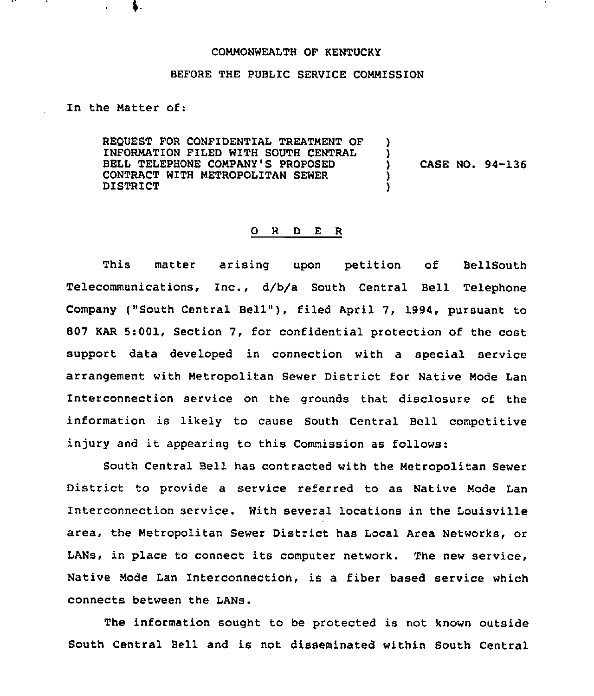## COMMONWEALTH OF KENTUCKY

## BEFORE THE PUBLIC SERVICE COMMISSION

In the Matter of:

REQUEST FOR CONFIDENTIAL TREATMENT OF INFORMATION FILED WITH SOUTH CENTRAL BELL TELEPHONE COMPANY'S PROPOSED CONTRACT WITH METROPOLITAN SEWER DISTRICT ) ) ) CASE NO. 94-136 ) )

## 0 <sup>R</sup> <sup>D</sup> E <sup>R</sup>

This matter arising upon petition of BellSouth Telecommunications, Inc., d/b/a South Central Bell Telephone Company ("South Central Bell"), filed April 7, 1994, pursuant to 807 KAR 5:001, Section 7, for confidential protection of the cost support data developed in connection with a special service arrangement with Metropolitan Sewer District for Native Mode Lan Interconnection service on the grounds that disclosure of the information is likely to cause South Central Bell competitive injury and it appearing to this Commission as follows:

South Central Bell has contracted with the Metropolitan Sewer District to provide a service referred to as Native Mode Lan Interconnection service. With several locations in the Louisville area, the Metropolitan Sewer District has Local Area Networks, or LANs, in place to connect its computer network. The new service, Native Mode Lan Interconnection, is a fiber based service which connects between the LANs.

The information sought to be protected is not known outside South Central Bell and is not disseminated within South Central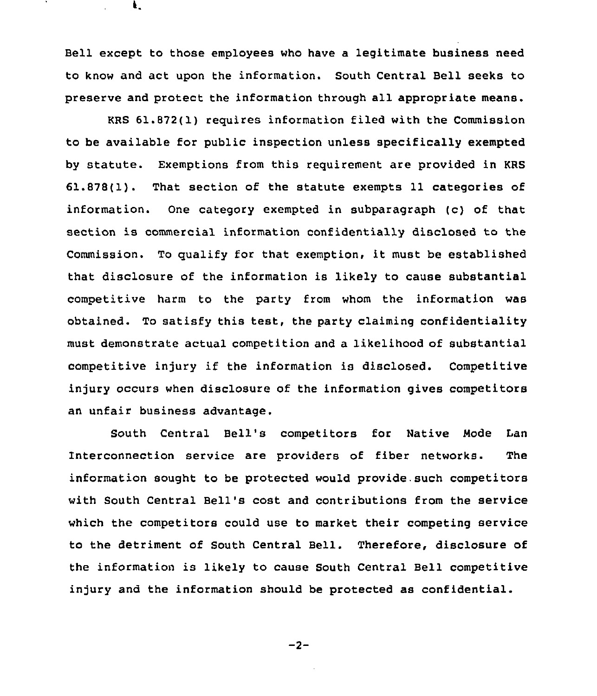Bell except to those employees who have a legitimate business need to know and act upon the information. South Central Bell seeks to preserve and protect the information through all appropriate means.

ŧ,

KRS 61.872(1) requires information filed with the Commission to be available for public inspection unless specifically exempted by statute. Exemptions from this requirement are provided in KRS 61.878(1). That section of the statute exempts 11 categories of information. One category exempted in subparagraph (c) of that section is commercial information confidentially disclosed to the Commission. To qualify for that exemption, it must be established that disclosure of the information is likely to cause substantial competitive harm to the party from whom the information was obtained. To satisfy this test, the party claiming confidentiality must demonstrate actual competition and a likelihood of substantial competitive injury if the information is disclosed. Competitive injury occurs when disclosure of the information gives competitors an unfair business advantage.

South Central Bell's competitors for Native Node Lan Interconnection service are providers of fiber networks. The information sought to be protected would provide. such competitors with South Central Bell's cost and contributions from the service which the competitors could use to market their competing service to the detriment of South Central Bell. Therefore, disclosure of the information is likely to cause South Central Bell competitive injury and the information should be protected as confidential.

$$
-2-
$$